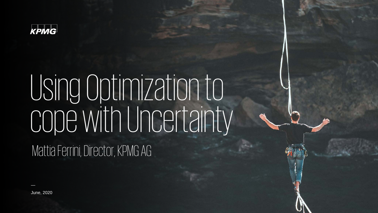

# Using Optimization to cope with Uncertainty

Mattia Ferrini, Director, KPMG AG

—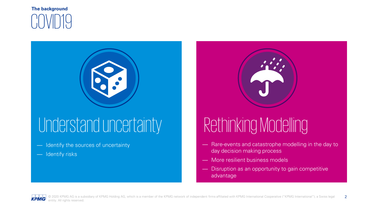



## Understand uncertainty Rethinking Modelling

- Identify the sources of uncertainty
- Identify risks



- Rare-events and catastrophe modelling in the day to day decision making process
- More resilient business models
- Disruption as an opportunity to gain competitive advantage

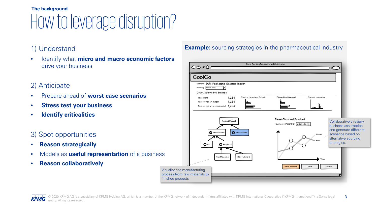## How to leverage disruption? **The background**

### 1) Understand

• Identify what **micro and macro economic factors**  drive your business

### 2) Anticipate

- Prepare ahead of **worst case scenarios**
- **Stress test your business**
- **Identify criticalities**

### 3) Spot opportunities

- **Reason strategically**
- Models as **useful representation** of a business
- **Reason collaboratively**

#### **Example:** sourcing strategies in the pharmaceutical industry

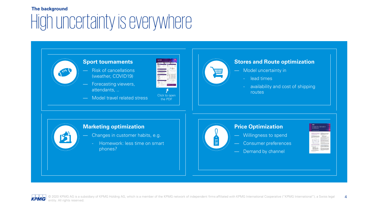### High uncertainty is everywhere **The background**



#### **Stores and Route optimization**

- Model uncertainty in
	- lead times
	- availability and cost of shipping routes



#### **Marketing optimization**

- Changes in customer habits, e.g.
	- Homework: less time on smart phones?



#### **Price Optimization**

- Willingness to spend
	- Consumer preferences
	- Demand by channel



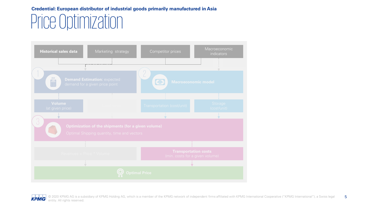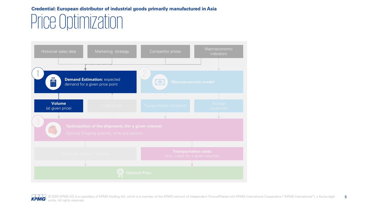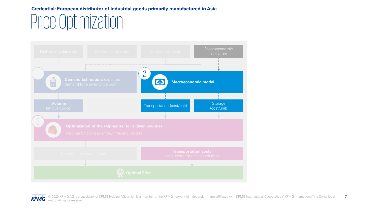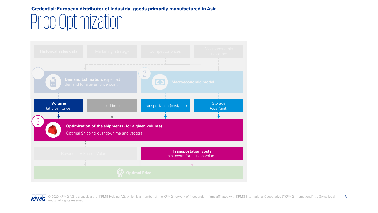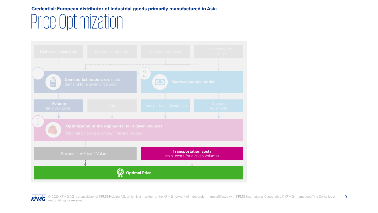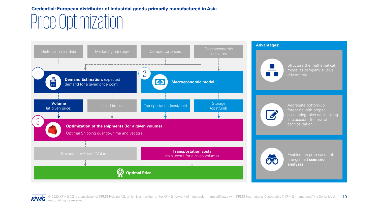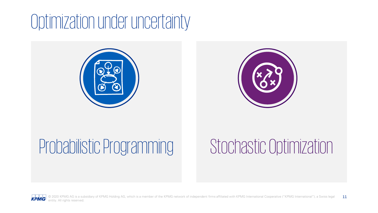# Optimization under uncertainty





# Probabilistic Programming Stochastic Optimization



© 2020 KPMG AG is a subsidiary of KPMG Holding AG, which is a member of the KPMG network of independent firms affiliated with KPMG International Cooperative ("KPMG International"), a Swiss legal 11 entity. All rights reserved.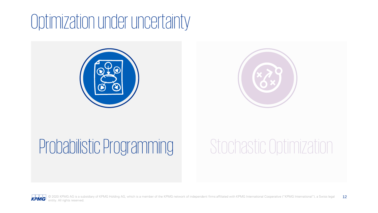# Optimization under uncertainty





# Probabilistic Programming Stochastic Optimization



© 2020 KPMG AG is a subsidiary of KPMG Holding AG, which is a member of the KPMG network of independent firms affiliated with KPMG International Cooperative ("KPMG International"), a Swiss legal 12 entity. All rights reserved.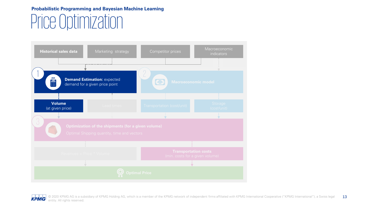### Price Optimization **Probabilistic Programming and Bayesian Machine Learning**

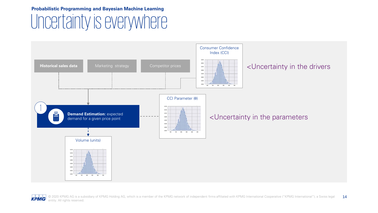### Uncertainty is everywhere **Probabilistic Programming and Bayesian Machine Learning**



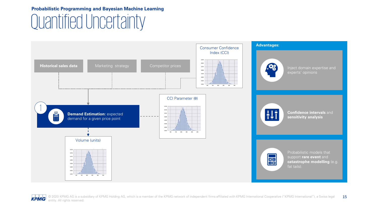### Quantified Uncertainty **Probabilistic Programming and Bayesian Machine Learning**

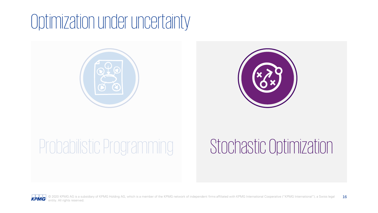# Optimization under uncertainty





# Probabilistic Programming Stochastic Optimization



© 2020 KPMG AG is a subsidiary of KPMG Holding AG, which is a member of the KPMG network of independent firms affiliated with KPMG International Cooperative ("KPMG International"), a Swiss legal 16 entity. All rights reserved.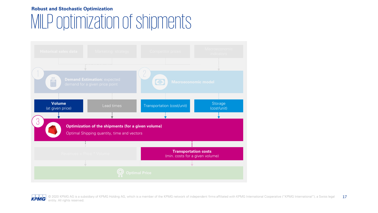#### **Robust and Stochastic Optimization**

## MILP optimization of shipments

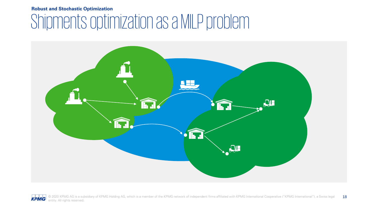#### **Robust and Stochastic Optimization**

## Shipments optimization as a MILP problem

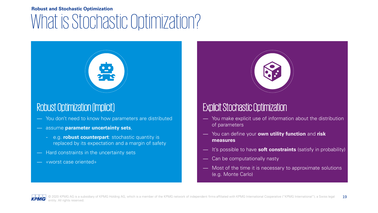### What is Stochastic Optimization? **Robust and Stochastic Optimization**



### Robust Optimization (Implicit)

- You don't need to know how parameters are distributed
- assume **parameter uncertainty sets**,
	- e.g. **robust counterpart**: stochastic quantity is replaced by its expectation and a margin of safety
- Hard constraints in the uncertainty sets
- «worst case oriented»

### Explicit Stochastic Optimization

- You make explicit use of information about the distribution of parameters
- You can define your **own utility function** and **risk measures**
- It's possible to have **soft constraints** (satisfy in probability)
- Can be computationally nasty
- Most of the time it is necessary to approximate solutions (e.g. Monte Carlo)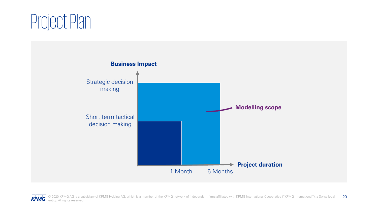# Project Plan

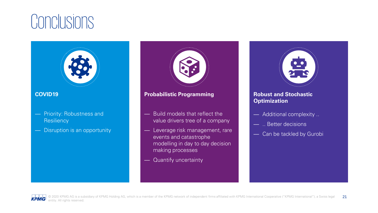## **Conclusions**





- events and catastrophe modelling in day to day decision making processes
- Quantify uncertainty



#### **Robust and Stochastic Optimization**

- Additional complexity ..
- .. Better decisions
- Can be tackled by Gurobi

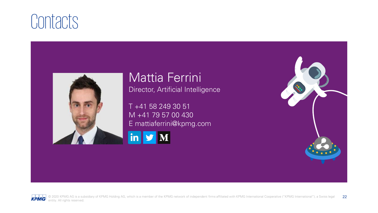## **Contacts**



## Mattia Ferrini

Director, Artificial Intelligence

T +41 58 249 30 51 M +41 79 57 00 430 [E mat](https://www.linkedin.com/in/mattia-ferrini/)tiaferrini@kpmg.com